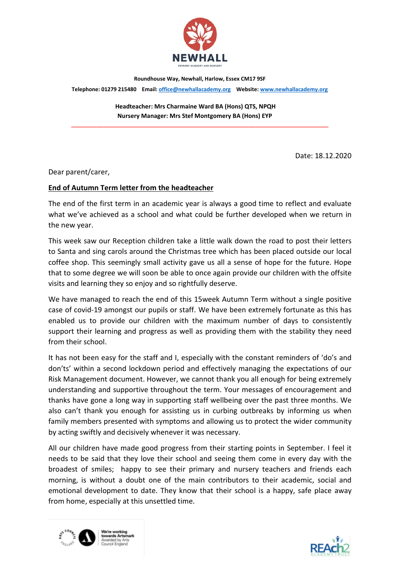

Roundhouse Way, Newhall, Harlow, Essex CM17 9SF

Telephone: 01279 215480 Email: office@newhallacademy.org Website: www.newhallacademy.org

\_\_\_\_\_\_\_\_\_\_\_\_\_\_\_\_\_\_\_\_\_\_\_\_\_\_\_\_\_\_\_\_\_\_\_\_\_\_\_\_\_\_\_\_\_\_\_\_\_\_\_\_\_\_\_\_\_\_\_\_\_\_\_\_\_\_\_\_\_\_\_\_\_\_\_\_\_\_\_\_\_

 Headteacher: Mrs Charmaine Ward BA (Hons) QTS, NPQH Nursery Manager: Mrs Stef Montgomery BA (Hons) EYP

Date: 18.12.2020

Dear parent/carer,

## End of Autumn Term letter from the headteacher

The end of the first term in an academic year is always a good time to reflect and evaluate what we've achieved as a school and what could be further developed when we return in the new year.

This week saw our Reception children take a little walk down the road to post their letters to Santa and sing carols around the Christmas tree which has been placed outside our local coffee shop. This seemingly small activity gave us all a sense of hope for the future. Hope that to some degree we will soon be able to once again provide our children with the offsite visits and learning they so enjoy and so rightfully deserve.

We have managed to reach the end of this 15week Autumn Term without a single positive case of covid-19 amongst our pupils or staff. We have been extremely fortunate as this has enabled us to provide our children with the maximum number of days to consistently support their learning and progress as well as providing them with the stability they need from their school.

It has not been easy for the staff and I, especially with the constant reminders of 'do's and don'ts' within a second lockdown period and effectively managing the expectations of our Risk Management document. However, we cannot thank you all enough for being extremely understanding and supportive throughout the term. Your messages of encouragement and thanks have gone a long way in supporting staff wellbeing over the past three months. We also can't thank you enough for assisting us in curbing outbreaks by informing us when family members presented with symptoms and allowing us to protect the wider community by acting swiftly and decisively whenever it was necessary.

All our children have made good progress from their starting points in September. I feel it needs to be said that they love their school and seeing them come in every day with the broadest of smiles; happy to see their primary and nursery teachers and friends each morning, is without a doubt one of the main contributors to their academic, social and emotional development to date. They know that their school is a happy, safe place away from home, especially at this unsettled time.